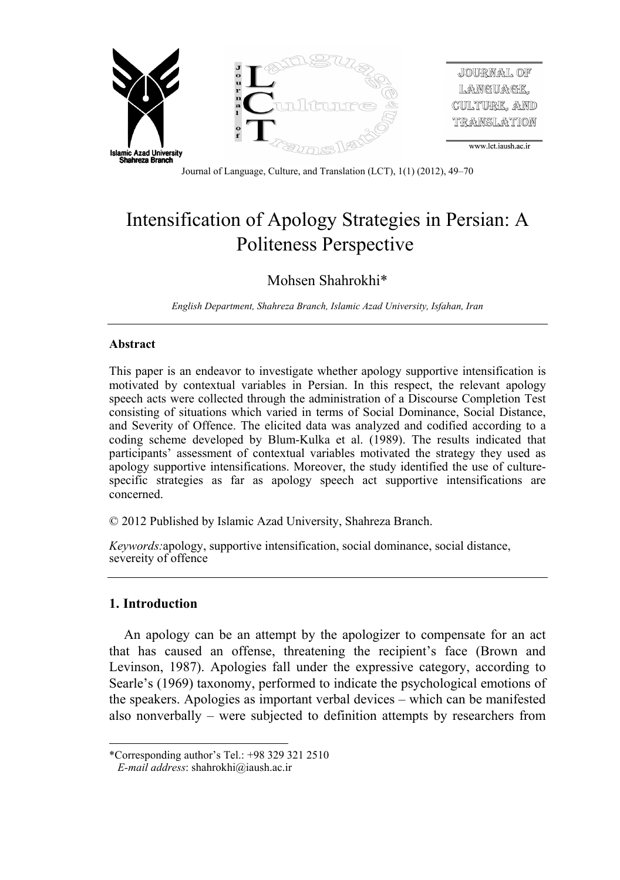

Journal of Language, Culture, and Translation (LCT), 1(1) (2012), 49–70

# Intensification of Apology Strategies in Persian: A Politeness Perspective

# Mohsen Shahrokhi\*

*English Department, Shahreza Branch, Islamic Azad University, Isfahan, Iran* 

# **Abstract**

This paper is an endeavor to investigate whether apology supportive intensification is motivated by contextual variables in Persian. In this respect, the relevant apology speech acts were collected through the administration of a Discourse Completion Test consisting of situations which varied in terms of Social Dominance, Social Distance, and Severity of Offence. The elicited data was analyzed and codified according to a coding scheme developed by Blum-Kulka et al. (1989). The results indicated that participants' assessment of contextual variables motivated the strategy they used as apology supportive intensifications. Moreover, the study identified the use of culturespecific strategies as far as apology speech act supportive intensifications are concerned.

© 2012 Published by Islamic Azad University, Shahreza Branch.

*Keywords:*apology, supportive intensification, social dominance, social distance, severeity of offence

# **1. Introduction**

An apology can be an attempt by the apologizer to compensate for an act that has caused an offense, threatening the recipient's face (Brown and Levinson, 1987). Apologies fall under the expressive category, according to Searle's (1969) taxonomy, performed to indicate the psychological emotions of the speakers. Apologies as important verbal devices – which can be manifested also nonverbally – were subjected to definition attempts by researchers from

 $\overline{a}$ \*Corresponding author's Tel.: +98 329 321 2510

*E-mail address*: shahrokhi@iaush.ac.ir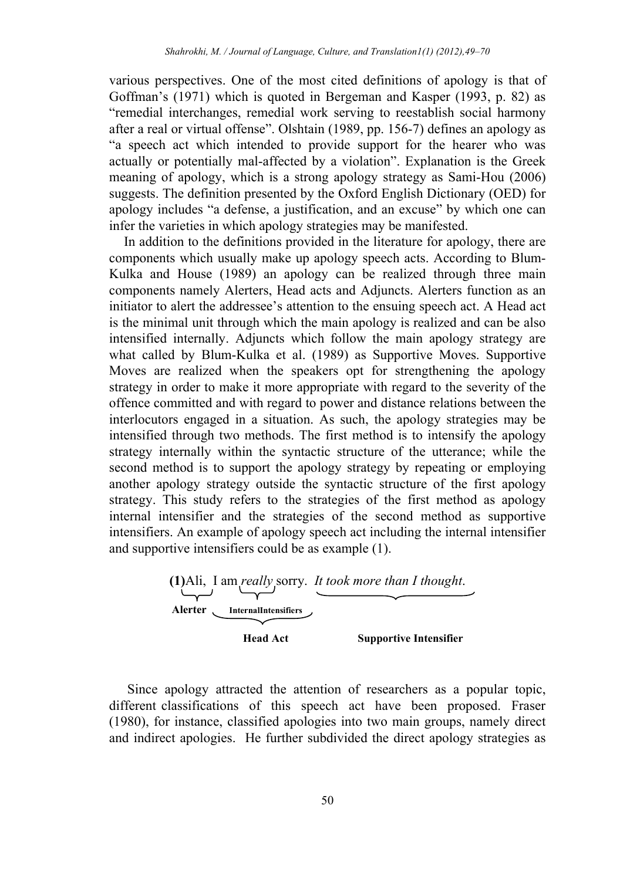various perspectives. One of the most cited definitions of apology is that of Goffman's (1971) which is quoted in Bergeman and Kasper (1993, p. 82) as "remedial interchanges, remedial work serving to reestablish social harmony after a real or virtual offense". Olshtain (1989, pp. 156-7) defines an apology as "a speech act which intended to provide support for the hearer who was actually or potentially mal-affected by a violation". Explanation is the Greek meaning of apology, which is a strong apology strategy as Sami-Hou (2006) suggests. The definition presented by the Oxford English Dictionary (OED) for apology includes "a defense, a justification, and an excuse" by which one can infer the varieties in which apology strategies may be manifested.

In addition to the definitions provided in the literature for apology, there are components which usually make up apology speech acts. According to Blum-Kulka and House (1989) an apology can be realized through three main components namely Alerters, Head acts and Adjuncts. Alerters function as an initiator to alert the addressee's attention to the ensuing speech act. A Head act is the minimal unit through which the main apology is realized and can be also intensified internally. Adjuncts which follow the main apology strategy are what called by Blum-Kulka et al. (1989) as Supportive Moves. Supportive Moves are realized when the speakers opt for strengthening the apology strategy in order to make it more appropriate with regard to the severity of the offence committed and with regard to power and distance relations between the interlocutors engaged in a situation. As such, the apology strategies may be intensified through two methods. The first method is to intensify the apology strategy internally within the syntactic structure of the utterance; while the second method is to support the apology strategy by repeating or employing another apology strategy outside the syntactic structure of the first apology strategy. This study refers to the strategies of the first method as apology internal intensifier and the strategies of the second method as supportive intensifiers. An example of apology speech act including the internal intensifier and supportive intensifiers could be as example (1).



 Since apology attracted the attention of researchers as a popular topic, different classifications of this speech act have been proposed. Fraser (1980), for instance, classified apologies into two main groups, namely direct and indirect apologies. He further subdivided the direct apology strategies as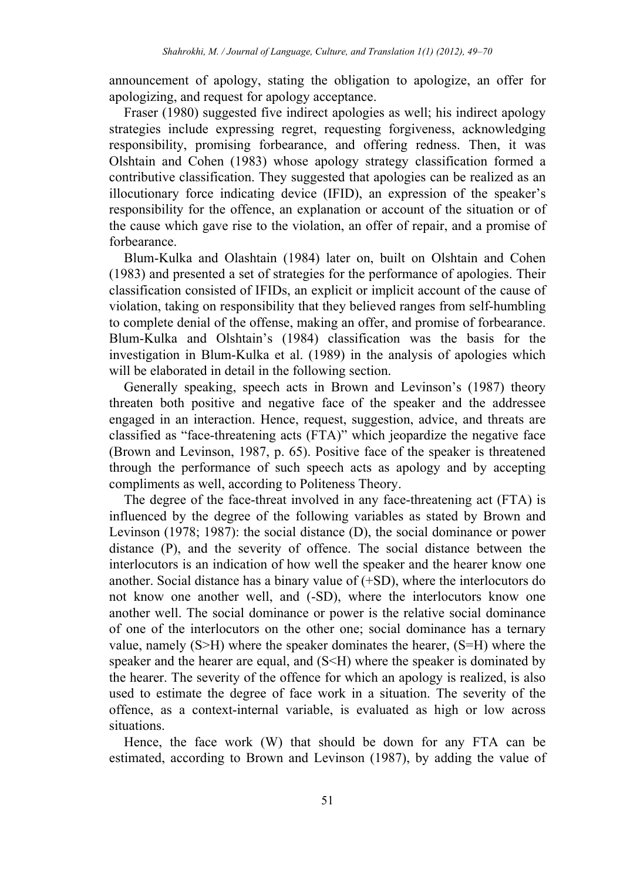announcement of apology, stating the obligation to apologize, an offer for apologizing, and request for apology acceptance.

Fraser (1980) suggested five indirect apologies as well; his indirect apology strategies include expressing regret, requesting forgiveness, acknowledging responsibility, promising forbearance, and offering redness. Then, it was Olshtain and Cohen (1983) whose apology strategy classification formed a contributive classification. They suggested that apologies can be realized as an illocutionary force indicating device (IFID), an expression of the speaker's responsibility for the offence, an explanation or account of the situation or of the cause which gave rise to the violation, an offer of repair, and a promise of forbearance.

Blum-Kulka and Olashtain (1984) later on, built on Olshtain and Cohen (1983) and presented a set of strategies for the performance of apologies. Their classification consisted of IFIDs, an explicit or implicit account of the cause of violation, taking on responsibility that they believed ranges from self-humbling to complete denial of the offense, making an offer, and promise of forbearance. Blum-Kulka and Olshtain's (1984) classification was the basis for the investigation in Blum-Kulka et al. (1989) in the analysis of apologies which will be elaborated in detail in the following section.

Generally speaking, speech acts in Brown and Levinson's (1987) theory threaten both positive and negative face of the speaker and the addressee engaged in an interaction. Hence, request, suggestion, advice, and threats are classified as "face-threatening acts (FTA)" which jeopardize the negative face (Brown and Levinson, 1987, p. 65). Positive face of the speaker is threatened through the performance of such speech acts as apology and by accepting compliments as well, according to Politeness Theory.

The degree of the face-threat involved in any face-threatening act (FTA) is influenced by the degree of the following variables as stated by Brown and Levinson (1978; 1987): the social distance (D), the social dominance or power distance (P), and the severity of offence. The social distance between the interlocutors is an indication of how well the speaker and the hearer know one another. Social distance has a binary value of (+SD), where the interlocutors do not know one another well, and (-SD), where the interlocutors know one another well. The social dominance or power is the relative social dominance of one of the interlocutors on the other one; social dominance has a ternary value, namely (S>H) where the speaker dominates the hearer, (S=H) where the speaker and the hearer are equal, and (S<H) where the speaker is dominated by the hearer. The severity of the offence for which an apology is realized, is also used to estimate the degree of face work in a situation. The severity of the offence, as a context-internal variable, is evaluated as high or low across situations.

Hence, the face work (W) that should be down for any FTA can be estimated, according to Brown and Levinson (1987), by adding the value of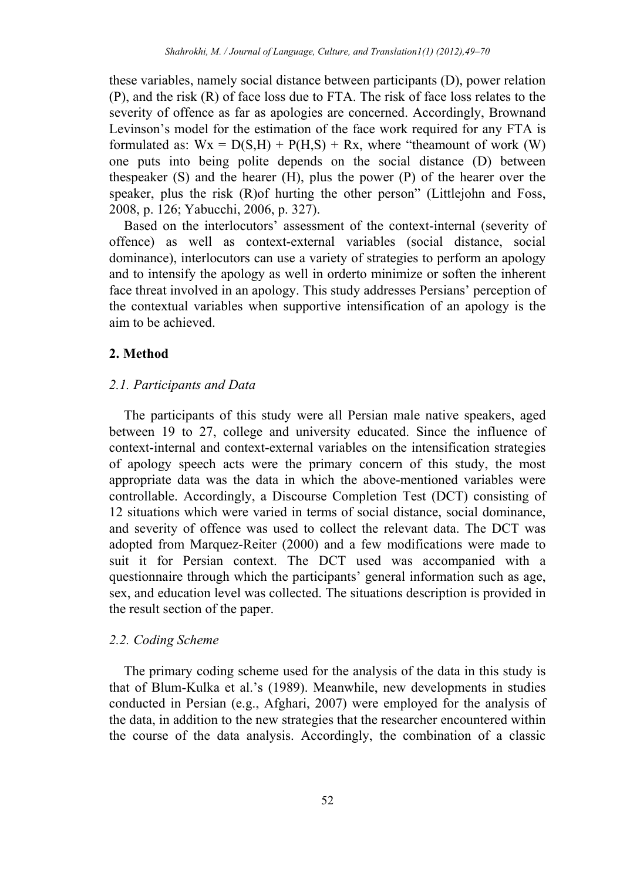these variables, namely social distance between participants (D), power relation (P), and the risk (R) of face loss due to FTA. The risk of face loss relates to the severity of offence as far as apologies are concerned. Accordingly, Brownand Levinson's model for the estimation of the face work required for any FTA is formulated as:  $Wx = D(S,H) + P(H,S) + Rx$ , where "theamount of work (W) one puts into being polite depends on the social distance (D) between thespeaker (S) and the hearer (H), plus the power (P) of the hearer over the speaker, plus the risk (R)of hurting the other person" (Littlejohn and Foss, 2008, p. 126; Yabucchi, 2006, p. 327).

Based on the interlocutors' assessment of the context-internal (severity of offence) as well as context-external variables (social distance, social dominance), interlocutors can use a variety of strategies to perform an apology and to intensify the apology as well in orderto minimize or soften the inherent face threat involved in an apology. This study addresses Persians' perception of the contextual variables when supportive intensification of an apology is the aim to be achieved.

# **2. Method**

# *2.1. Participants and Data*

The participants of this study were all Persian male native speakers, aged between 19 to 27, college and university educated. Since the influence of context-internal and context-external variables on the intensification strategies of apology speech acts were the primary concern of this study, the most appropriate data was the data in which the above-mentioned variables were controllable. Accordingly, a Discourse Completion Test (DCT) consisting of 12 situations which were varied in terms of social distance, social dominance, and severity of offence was used to collect the relevant data. The DCT was adopted from Marquez-Reiter (2000) and a few modifications were made to suit it for Persian context. The DCT used was accompanied with a questionnaire through which the participants' general information such as age, sex, and education level was collected. The situations description is provided in the result section of the paper.

# *2.2. Coding Scheme*

The primary coding scheme used for the analysis of the data in this study is that of Blum-Kulka et al.'s (1989). Meanwhile, new developments in studies conducted in Persian (e.g., Afghari, 2007) were employed for the analysis of the data, in addition to the new strategies that the researcher encountered within the course of the data analysis. Accordingly, the combination of a classic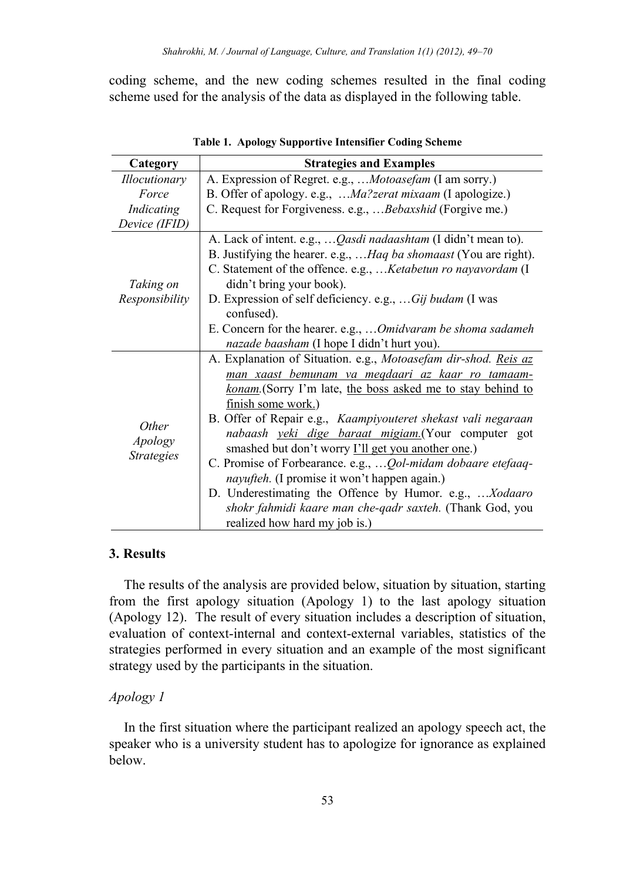coding scheme, and the new coding schemes resulted in the final coding scheme used for the analysis of the data as displayed in the following table.

| Category                                     | <b>Strategies and Examples</b>                                                                                                                                                                                                                                                                                                                                                                                                                                                                                                                                                                                                                                                            |
|----------------------------------------------|-------------------------------------------------------------------------------------------------------------------------------------------------------------------------------------------------------------------------------------------------------------------------------------------------------------------------------------------------------------------------------------------------------------------------------------------------------------------------------------------------------------------------------------------------------------------------------------------------------------------------------------------------------------------------------------------|
| <i>Illocutionary</i>                         | A. Expression of Regret. e.g.,  Motoasefam (I am sorry.)                                                                                                                                                                                                                                                                                                                                                                                                                                                                                                                                                                                                                                  |
| Force                                        | B. Offer of apology. e.g.,  Ma?zerat mixaam (I apologize.)                                                                                                                                                                                                                                                                                                                                                                                                                                                                                                                                                                                                                                |
| Indicating                                   | C. Request for Forgiveness. e.g.,  Bebaxshid (Forgive me.)                                                                                                                                                                                                                                                                                                                                                                                                                                                                                                                                                                                                                                |
| Device (IFID)                                |                                                                                                                                                                                                                                                                                                                                                                                                                                                                                                                                                                                                                                                                                           |
| Taking on<br>Responsibility                  | A. Lack of intent. e.g., <i>Qasdi nadaashtam</i> (I didn't mean to).<br>B. Justifying the hearer. e.g.,  Haq ba shomaast (You are right).<br>C. Statement of the offence. e.g.,  Ketabetun ro nayavordam (I<br>didn't bring your book).<br>D. Expression of self deficiency. e.g.,  Gij budam (I was<br>confused).<br>E. Concern for the hearer. e.g.,  Omidvaram be shoma sadameh<br>nazade baasham (I hope I didn't hurt you).                                                                                                                                                                                                                                                          |
| <i>Other</i><br>Apology<br><i>Strategies</i> | A. Explanation of Situation. e.g., Motoasefam dir-shod. Reis az<br>man xaast bemunam va megdaari az kaar ro tamaam-<br><u>konam</u> . (Sorry I'm late, the boss asked me to stay behind to<br>finish some work.)<br>B. Offer of Repair e.g., Kaampiyouteret shekast vali negaraan<br>nabaash yeki dige baraat migiam.(Your computer got<br>smashed but don't worry <b>I'll get you another one</b> .)<br>C. Promise of Forbearance. e.g., <i>Qol-midam dobaare etefaaq-</i><br><i>nayufteh.</i> (I promise it won't happen again.)<br>D. Underestimating the Offence by Humor. e.g., Xodaaro<br>shokr fahmidi kaare man che-qadr saxteh. (Thank God, you<br>realized how hard my job is.) |

**Table 1. Apology Supportive Intensifier Coding Scheme** 

#### **3. Results**

The results of the analysis are provided below, situation by situation, starting from the first apology situation (Apology 1) to the last apology situation (Apology 12). The result of every situation includes a description of situation, evaluation of context-internal and context-external variables, statistics of the strategies performed in every situation and an example of the most significant strategy used by the participants in the situation.

# *Apology 1*

In the first situation where the participant realized an apology speech act, the speaker who is a university student has to apologize for ignorance as explained below.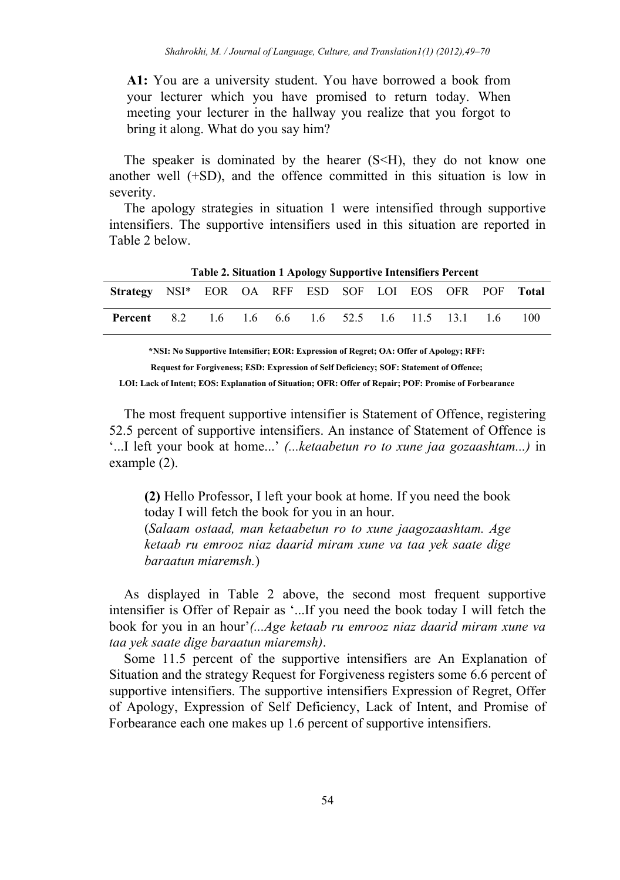**A1:** You are a university student. You have borrowed a book from your lecturer which you have promised to return today. When meeting your lecturer in the hallway you realize that you forgot to bring it along. What do you say him?

The speaker is dominated by the hearer  $(S< H)$ , they do not know one another well (+SD), and the offence committed in this situation is low in severity.

The apology strategies in situation 1 were intensified through supportive intensifiers. The supportive intensifiers used in this situation are reported in Table 2 below.

|                                                           | - were no extension + 11 pology explorers mechanisments + externe |  |  |  |  |      |
|-----------------------------------------------------------|-------------------------------------------------------------------|--|--|--|--|------|
| Strategy NSI* EOR OA RFF ESD SOF LOI EOS OFR POF Total    |                                                                   |  |  |  |  |      |
| <b>Percent</b> 8.2 1.6 1.6 6.6 1.6 52.5 1.6 11.5 13.1 1.6 |                                                                   |  |  |  |  | -100 |

**Table 2. Situation 1 Apology Supportive Intensifiers Percent** 

**\*NSI: No Supportive Intensifier; EOR: Expression of Regret; OA: Offer of Apology; RFF: Request for Forgiveness; ESD: Expression of Self Deficiency; SOF: Statement of Offence; LOI: Lack of Intent; EOS: Explanation of Situation; OFR: Offer of Repair; POF: Promise of Forbearance**

The most frequent supportive intensifier is Statement of Offence, registering 52.5 percent of supportive intensifiers. An instance of Statement of Offence is '...I left your book at home...' *(...ketaabetun ro to xune jaa gozaashtam...)* in example (2).

**(2)** Hello Professor, I left your book at home. If you need the book today I will fetch the book for you in an hour. (*Salaam ostaad, man ketaabetun ro to xune jaagozaashtam. Age ketaab ru emrooz niaz daarid miram xune va taa yek saate dige baraatun miaremsh.*)

As displayed in Table 2 above, the second most frequent supportive intensifier is Offer of Repair as '...If you need the book today I will fetch the book for you in an hour'*(...Age ketaab ru emrooz niaz daarid miram xune va taa yek saate dige baraatun miaremsh)*.

Some 11.5 percent of the supportive intensifiers are An Explanation of Situation and the strategy Request for Forgiveness registers some 6.6 percent of supportive intensifiers. The supportive intensifiers Expression of Regret, Offer of Apology, Expression of Self Deficiency, Lack of Intent, and Promise of Forbearance each one makes up 1.6 percent of supportive intensifiers.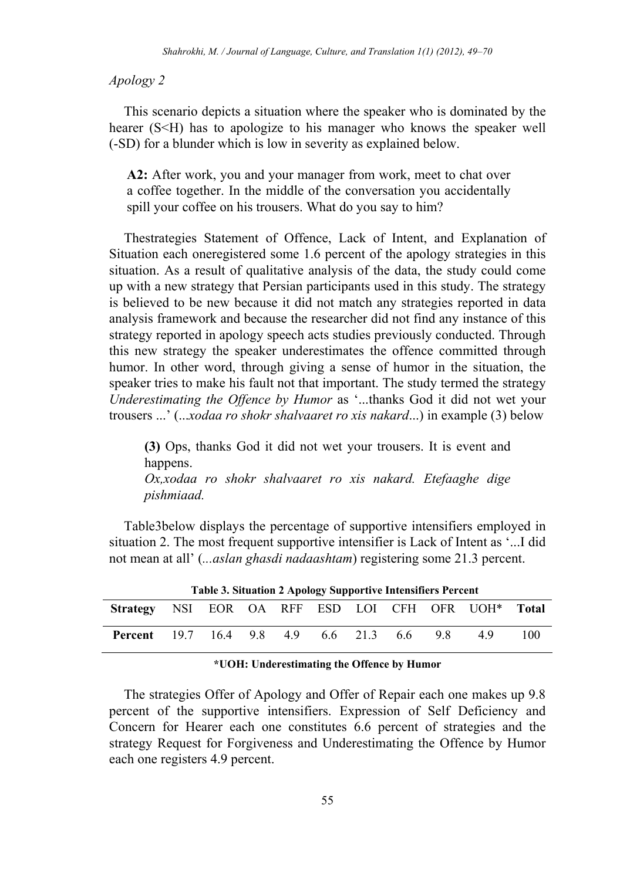#### *Apology 2*

This scenario depicts a situation where the speaker who is dominated by the hearer (S<H) has to apologize to his manager who knows the speaker well (-SD) for a blunder which is low in severity as explained below.

**A2:** After work, you and your manager from work, meet to chat over a coffee together. In the middle of the conversation you accidentally spill your coffee on his trousers. What do you say to him?

Thestrategies Statement of Offence, Lack of Intent, and Explanation of Situation each oneregistered some 1.6 percent of the apology strategies in this situation. As a result of qualitative analysis of the data, the study could come up with a new strategy that Persian participants used in this study. The strategy is believed to be new because it did not match any strategies reported in data analysis framework and because the researcher did not find any instance of this strategy reported in apology speech acts studies previously conducted. Through this new strategy the speaker underestimates the offence committed through humor. In other word, through giving a sense of humor in the situation, the speaker tries to make his fault not that important. The study termed the strategy *Underestimating the Offence by Humor* as '...thanks God it did not wet your trousers ...' (...*xodaa ro shokr shalvaaret ro xis nakard*...) in example (3) below

**(3)** Ops, thanks God it did not wet your trousers. It is event and happens.

*Ox,xodaa ro shokr shalvaaret ro xis nakard. Etefaaghe dige pishmiaad.* 

Table3below displays the percentage of supportive intensifiers employed in situation 2. The most frequent supportive intensifier is Lack of Intent as '...I did not mean at all' (*...aslan ghasdi nadaashtam*) registering some 21.3 percent.

| Table 3. Situation 2 Apology Supportive Intensifiers Percent   |  |  |  |  |  |  |  |     |     |     |
|----------------------------------------------------------------|--|--|--|--|--|--|--|-----|-----|-----|
| Strategy NSI EOR OA RFF ESD LOI CFH OFR UOH <sup>*</sup> Total |  |  |  |  |  |  |  |     |     |     |
| <b>Percent</b> 19.7 16.4 9.8 4.9 6.6 21.3 6.6                  |  |  |  |  |  |  |  | 9.8 | -49 | 100 |
|                                                                |  |  |  |  |  |  |  |     |     |     |

#### **\*UOH: Underestimating the Offence by Humor**

The strategies Offer of Apology and Offer of Repair each one makes up 9.8 percent of the supportive intensifiers. Expression of Self Deficiency and Concern for Hearer each one constitutes 6.6 percent of strategies and the strategy Request for Forgiveness and Underestimating the Offence by Humor each one registers 4.9 percent.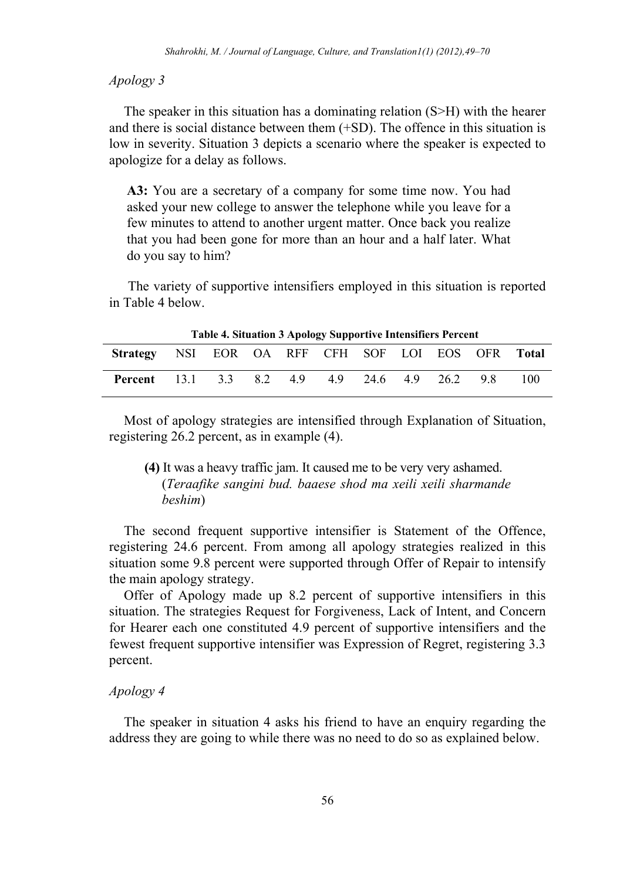#### *Apology 3*

The speaker in this situation has a dominating relation (S>H) with the hearer and there is social distance between them (+SD). The offence in this situation is low in severity. Situation 3 depicts a scenario where the speaker is expected to apologize for a delay as follows.

**A3:** You are a secretary of a company for some time now. You had asked your new college to answer the telephone while you leave for a few minutes to attend to another urgent matter. Once back you realize that you had been gone for more than an hour and a half later. What do you say to him?

The variety of supportive intensifiers employed in this situation is reported in Table 4 below.

|                                                   | Table 4. Situation 3 Apology Supportive Intensifiers Percent |  |  |  |  |  |  |  |     |     |  |  |
|---------------------------------------------------|--------------------------------------------------------------|--|--|--|--|--|--|--|-----|-----|--|--|
| Strategy NSI EOR OA RFF CFH SOF LOI EOS OFR Total |                                                              |  |  |  |  |  |  |  |     |     |  |  |
| <b>Percent</b> 13.1 3.3 8.2 4.9 4.9 24.6 4.9 26.2 |                                                              |  |  |  |  |  |  |  | -98 | 100 |  |  |

**Table 4. Situation 3 Apology Supportive Intensifiers Percent** 

Most of apology strategies are intensified through Explanation of Situation, registering 26.2 percent, as in example (4).

**(4)** It was a heavy traffic jam. It caused me to be very very ashamed. (*Teraafike sangini bud. baaese shod ma xeili xeili sharmande beshim*)

The second frequent supportive intensifier is Statement of the Offence, registering 24.6 percent. From among all apology strategies realized in this situation some 9.8 percent were supported through Offer of Repair to intensify the main apology strategy.

Offer of Apology made up 8.2 percent of supportive intensifiers in this situation. The strategies Request for Forgiveness, Lack of Intent, and Concern for Hearer each one constituted 4.9 percent of supportive intensifiers and the fewest frequent supportive intensifier was Expression of Regret, registering 3.3 percent.

# *Apology 4*

The speaker in situation 4 asks his friend to have an enquiry regarding the address they are going to while there was no need to do so as explained below.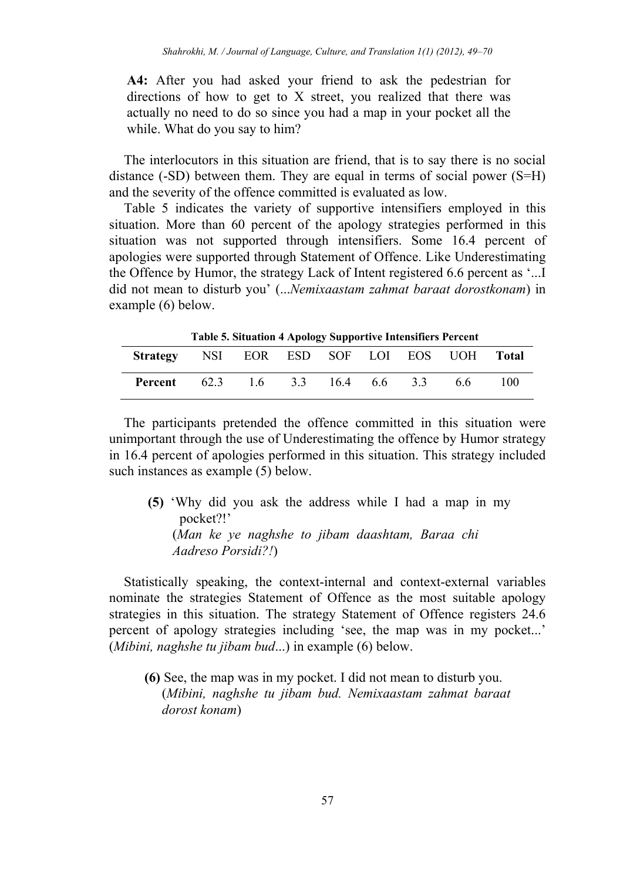**A4:** After you had asked your friend to ask the pedestrian for directions of how to get to X street, you realized that there was actually no need to do so since you had a map in your pocket all the while. What do you say to him?

The interlocutors in this situation are friend, that is to say there is no social distance (-SD) between them. They are equal in terms of social power (S=H) and the severity of the offence committed is evaluated as low.

Table 5 indicates the variety of supportive intensifiers employed in this situation. More than 60 percent of the apology strategies performed in this situation was not supported through intensifiers. Some 16.4 percent of apologies were supported through Statement of Offence. Like Underestimating the Offence by Humor, the strategy Lack of Intent registered 6.6 percent as '...I did not mean to disturb you' (...*Nemixaastam zahmat baraat dorostkonam*) in example (6) below.

|                                      | Table 5. Situation 4 Apology Supportive Intensifiers Percent |  |  |    |       |
|--------------------------------------|--------------------------------------------------------------|--|--|----|-------|
| Strategy NSI EOR ESD SOF LOI EOS UOH |                                                              |  |  |    | Total |
| Percent                              | 62.3 1.6 3.3 16.4 6.6 3.3                                    |  |  | 66 | 100   |

**Table 5. Situation 4 Apology Supportive Intensifiers Percent** 

The participants pretended the offence committed in this situation were unimportant through the use of Underestimating the offence by Humor strategy in 16.4 percent of apologies performed in this situation. This strategy included such instances as example (5) below.

 **(5)** 'Why did you ask the address while I had a map in my pocket?!' (*Man ke ye naghshe to jibam daashtam, Baraa chi Aadreso Porsidi?!*)

Statistically speaking, the context-internal and context-external variables nominate the strategies Statement of Offence as the most suitable apology strategies in this situation. The strategy Statement of Offence registers 24.6 percent of apology strategies including 'see, the map was in my pocket...' (*Mibini, naghshe tu jibam bud*...) in example (6) below.

**(6)** See, the map was in my pocket. I did not mean to disturb you. (*Mibini, naghshe tu jibam bud. Nemixaastam zahmat baraat dorost konam*)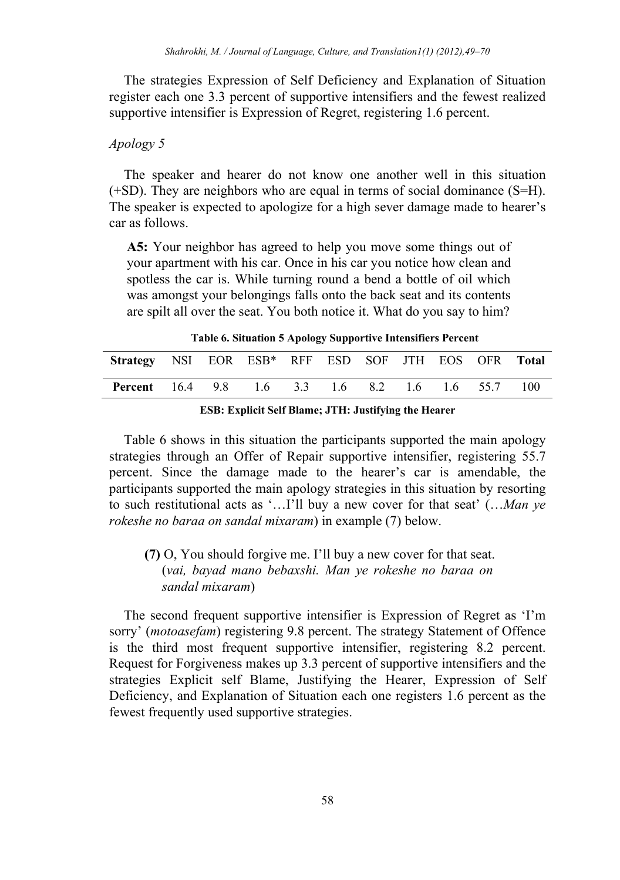The strategies Expression of Self Deficiency and Explanation of Situation register each one 3.3 percent of supportive intensifiers and the fewest realized supportive intensifier is Expression of Regret, registering 1.6 percent.

# *Apology 5*

The speaker and hearer do not know one another well in this situation (+SD). They are neighbors who are equal in terms of social dominance (S=H). The speaker is expected to apologize for a high sever damage made to hearer's car as follows.

**A5:** Your neighbor has agreed to help you move some things out of your apartment with his car. Once in his car you notice how clean and spotless the car is. While turning round a bend a bottle of oil which was amongst your belongings falls onto the back seat and its contents are spilt all over the seat. You both notice it. What do you say to him?

**Table 6. Situation 5 Apology Supportive Intensifiers Percent** 

| Strategy NSI EOR ESB* RFF ESD SOF JTH EOS OFR Total      |  |  |  |  |  |
|----------------------------------------------------------|--|--|--|--|--|
| <b>Percent</b> 16.4 9.8 1.6 3.3 1.6 8.2 1.6 1.6 55.7 100 |  |  |  |  |  |

Table 6 shows in this situation the participants supported the main apology strategies through an Offer of Repair supportive intensifier, registering 55.7 percent. Since the damage made to the hearer's car is amendable, the participants supported the main apology strategies in this situation by resorting to such restitutional acts as '…I'll buy a new cover for that seat' (…*Man ye rokeshe no baraa on sandal mixaram*) in example (7) below.

**(7)** O, You should forgive me. I'll buy a new cover for that seat. (*vai, bayad mano bebaxshi. Man ye rokeshe no baraa on sandal mixaram*)

The second frequent supportive intensifier is Expression of Regret as 'I'm sorry' (*motoasefam*) registering 9.8 percent. The strategy Statement of Offence is the third most frequent supportive intensifier, registering 8.2 percent. Request for Forgiveness makes up 3.3 percent of supportive intensifiers and the strategies Explicit self Blame, Justifying the Hearer, Expression of Self Deficiency, and Explanation of Situation each one registers 1.6 percent as the fewest frequently used supportive strategies.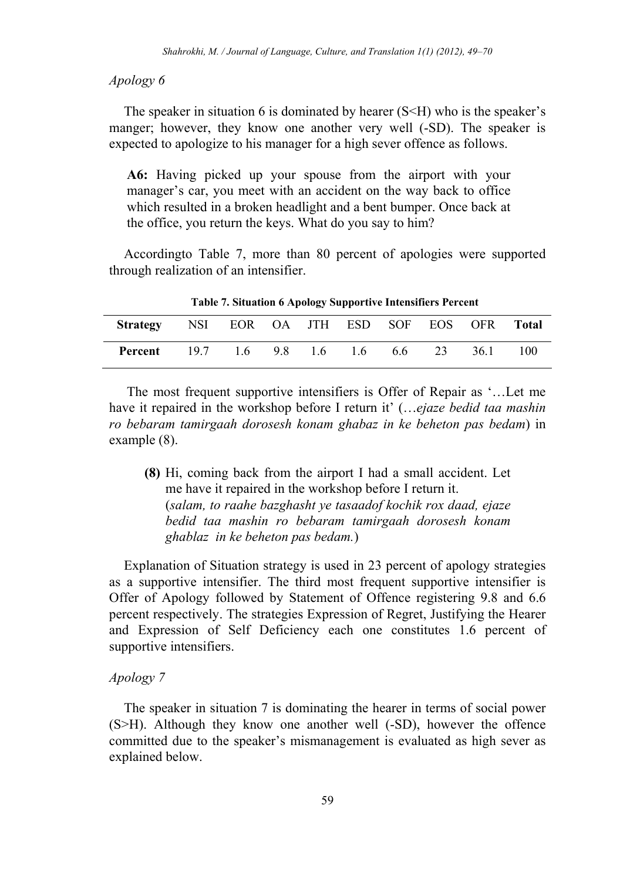#### *Apology 6*

The speaker in situation 6 is dominated by hearer  $(S< H)$  who is the speaker's manger; however, they know one another very well (-SD). The speaker is expected to apologize to his manager for a high sever offence as follows.

**A6:** Having picked up your spouse from the airport with your manager's car, you meet with an accident on the way back to office which resulted in a broken headlight and a bent bumper. Once back at the office, you return the keys. What do you say to him?

Accordingto Table 7, more than 80 percent of apologies were supported through realization of an intensifier.

| Strategy NSI EOR OA JTH ESD SOF EOS OFR Total |  |  |  |      |       |
|-----------------------------------------------|--|--|--|------|-------|
| <b>Percent</b> 19.7 1.6 9.8 1.6 1.6 6.6 23    |  |  |  | 36.1 | - 100 |

**Table 7. Situation 6 Apology Supportive Intensifiers Percent** 

The most frequent supportive intensifiers is Offer of Repair as '…Let me have it repaired in the workshop before I return it' (…*ejaze bedid taa mashin ro bebaram tamirgaah dorosesh konam ghabaz in ke beheton pas bedam*) in example (8).

**(8)** Hi, coming back from the airport I had a small accident. Let me have it repaired in the workshop before I return it. (*salam, to raahe bazghasht ye tasaadof kochik rox daad, ejaze bedid taa mashin ro bebaram tamirgaah dorosesh konam ghablaz in ke beheton pas bedam.*)

Explanation of Situation strategy is used in 23 percent of apology strategies as a supportive intensifier. The third most frequent supportive intensifier is Offer of Apology followed by Statement of Offence registering 9.8 and 6.6 percent respectively. The strategies Expression of Regret, Justifying the Hearer and Expression of Self Deficiency each one constitutes 1.6 percent of supportive intensifiers.

#### *Apology 7*

The speaker in situation 7 is dominating the hearer in terms of social power (S>H). Although they know one another well (-SD), however the offence committed due to the speaker's mismanagement is evaluated as high sever as explained below.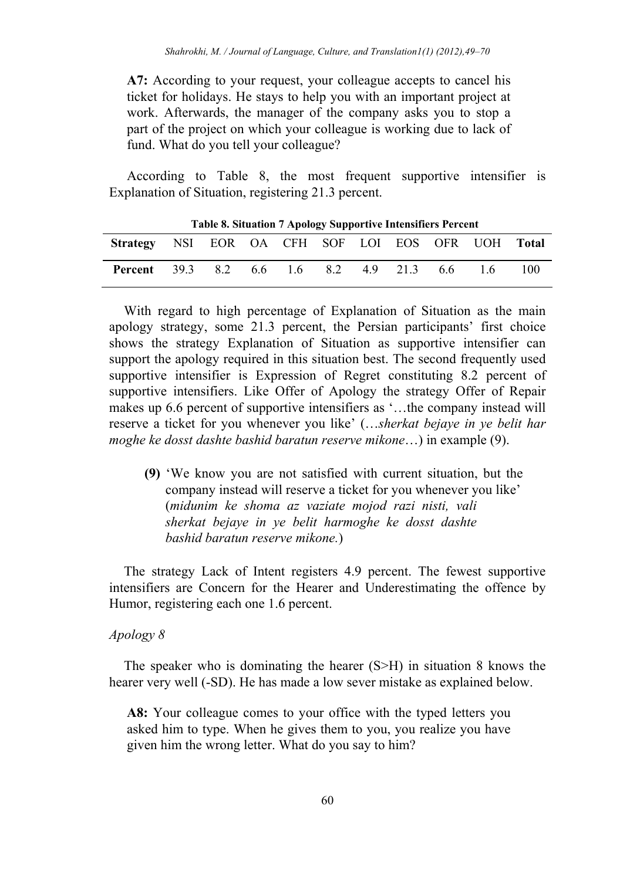**A7:** According to your request, your colleague accepts to cancel his ticket for holidays. He stays to help you with an important project at work. Afterwards, the manager of the company asks you to stop a part of the project on which your colleague is working due to lack of fund. What do you tell your colleague?

According to Table 8, the most frequent supportive intensifier is Explanation of Situation, registering 21.3 percent.

| Table of Shuation 7 Apology Supportive Intensifiers I creent |  |  |  |  |  |  |  |  |     |     |
|--------------------------------------------------------------|--|--|--|--|--|--|--|--|-----|-----|
| Strategy NSI EOR OA CFH SOF LOI EOS OFR UOH Total            |  |  |  |  |  |  |  |  |     |     |
| <b>Percent</b> 39.3 8.2 6.6 1.6 8.2 4.9 21.3 6.6             |  |  |  |  |  |  |  |  | -16 | 100 |

|  |  |  |  |  |  |  |  |  | Table 8. Situation 7 Apology Supportive Intensifiers Percent |  |
|--|--|--|--|--|--|--|--|--|--------------------------------------------------------------|--|
|--|--|--|--|--|--|--|--|--|--------------------------------------------------------------|--|

With regard to high percentage of Explanation of Situation as the main apology strategy, some 21.3 percent, the Persian participants' first choice shows the strategy Explanation of Situation as supportive intensifier can support the apology required in this situation best. The second frequently used supportive intensifier is Expression of Regret constituting 8.2 percent of supportive intensifiers. Like Offer of Apology the strategy Offer of Repair makes up 6.6 percent of supportive intensifiers as '…the company instead will reserve a ticket for you whenever you like' (…*sherkat bejaye in ye belit har moghe ke dosst dashte bashid baratun reserve mikone*…) in example (9).

**(9)** 'We know you are not satisfied with current situation, but the company instead will reserve a ticket for you whenever you like' (*midunim ke shoma az vaziate mojod razi nisti, vali sherkat bejaye in ye belit harmoghe ke dosst dashte bashid baratun reserve mikone.*)

The strategy Lack of Intent registers 4.9 percent. The fewest supportive intensifiers are Concern for the Hearer and Underestimating the offence by Humor, registering each one 1.6 percent.

#### *Apology 8*

The speaker who is dominating the hearer (S>H) in situation 8 knows the hearer very well (-SD). He has made a low sever mistake as explained below.

**A8:** Your colleague comes to your office with the typed letters you asked him to type. When he gives them to you, you realize you have given him the wrong letter. What do you say to him?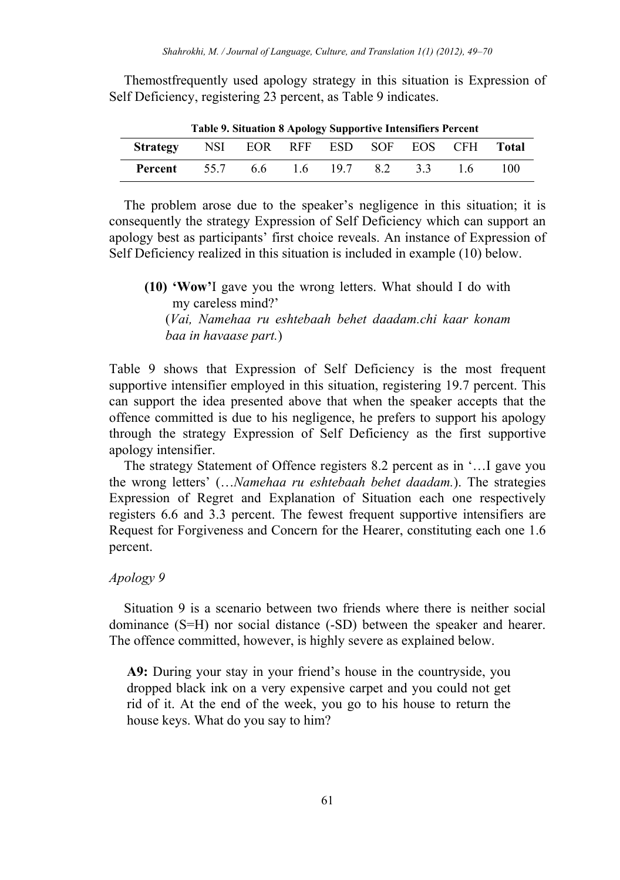Themostfrequently used apology strategy in this situation is Expression of Self Deficiency, registering 23 percent, as Table 9 indicates.

| Strategy NSI EOR RFF ESD SOF EOS CFH Total   |  |  |  |       |
|----------------------------------------------|--|--|--|-------|
| <b>Percent</b> 55.7 6.6 1.6 19.7 8.2 3.3 1.6 |  |  |  | - 100 |

**Table 9. Situation 8 Apology Supportive Intensifiers Percent** 

The problem arose due to the speaker's negligence in this situation; it is consequently the strategy Expression of Self Deficiency which can support an apology best as participants' first choice reveals. An instance of Expression of Self Deficiency realized in this situation is included in example (10) below.

**(10) 'Wow'**I gave you the wrong letters. What should I do with my careless mind?' (*Vai, Namehaa ru eshtebaah behet daadam.chi kaar konam baa in havaase part.*)

Table 9 shows that Expression of Self Deficiency is the most frequent supportive intensifier employed in this situation, registering 19.7 percent. This can support the idea presented above that when the speaker accepts that the offence committed is due to his negligence, he prefers to support his apology through the strategy Expression of Self Deficiency as the first supportive apology intensifier.

The strategy Statement of Offence registers 8.2 percent as in '…I gave you the wrong letters' (…*Namehaa ru eshtebaah behet daadam.*). The strategies Expression of Regret and Explanation of Situation each one respectively registers 6.6 and 3.3 percent. The fewest frequent supportive intensifiers are Request for Forgiveness and Concern for the Hearer, constituting each one 1.6 percent.

#### *Apology 9*

Situation 9 is a scenario between two friends where there is neither social dominance (S=H) nor social distance (-SD) between the speaker and hearer. The offence committed, however, is highly severe as explained below.

**A9:** During your stay in your friend's house in the countryside, you dropped black ink on a very expensive carpet and you could not get rid of it. At the end of the week, you go to his house to return the house keys. What do you say to him?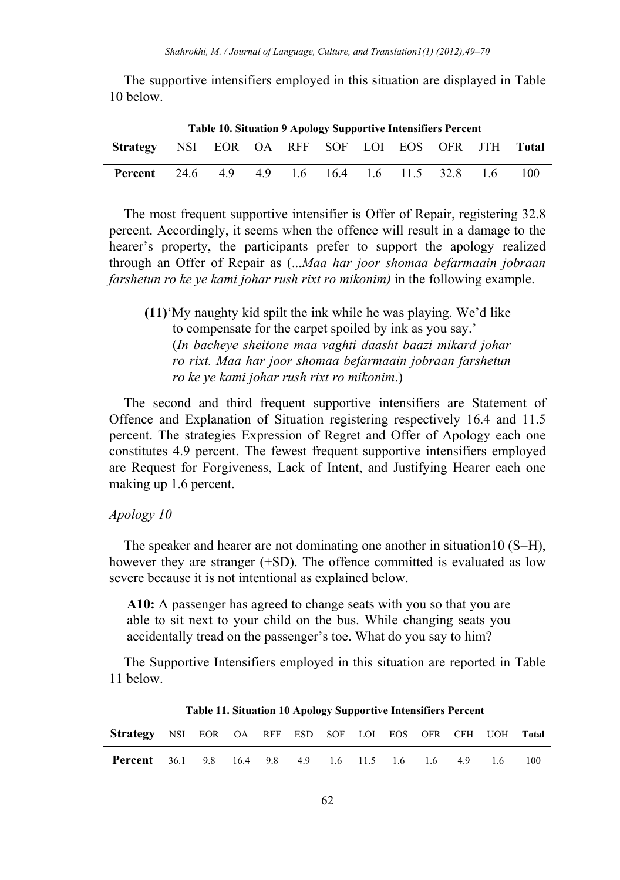The supportive intensifiers employed in this situation are displayed in Table 10 below.

| <b>Table 10. Situation 9 Apology Supportive Intensifiers Percent</b> |  |  |  |  |  |  |  |  |     |     |  |
|----------------------------------------------------------------------|--|--|--|--|--|--|--|--|-----|-----|--|
| Strategy NSI EOR OA RFF SOF LOI EOS OFR JTH Total                    |  |  |  |  |  |  |  |  |     |     |  |
| <b>Percent</b> 24.6 4.9 4.9 1.6 16.4 1.6 11.5 32.8                   |  |  |  |  |  |  |  |  | -16 | 100 |  |

The most frequent supportive intensifier is Offer of Repair, registering 32.8 percent. Accordingly, it seems when the offence will result in a damage to the hearer's property, the participants prefer to support the apology realized through an Offer of Repair as (...*Maa har joor shomaa befarmaain jobraan farshetun ro ke ye kami johar rush rixt ro mikonim)* in the following example.

**(11)**'My naughty kid spilt the ink while he was playing. We'd like to compensate for the carpet spoiled by ink as you say.' (*In bacheye sheitone maa vaghti daasht baazi mikard johar ro rixt. Maa har joor shomaa befarmaain jobraan farshetun ro ke ye kami johar rush rixt ro mikonim*.)

The second and third frequent supportive intensifiers are Statement of Offence and Explanation of Situation registering respectively 16.4 and 11.5 percent. The strategies Expression of Regret and Offer of Apology each one constitutes 4.9 percent. The fewest frequent supportive intensifiers employed are Request for Forgiveness, Lack of Intent, and Justifying Hearer each one making up 1.6 percent.

# *Apology 10*

The speaker and hearer are not dominating one another in situation10 (S=H), however they are stranger (+SD). The offence committed is evaluated as low severe because it is not intentional as explained below.

**A10:** A passenger has agreed to change seats with you so that you are able to sit next to your child on the bus. While changing seats you accidentally tread on the passenger's toe. What do you say to him?

The Supportive Intensifiers employed in this situation are reported in Table 11 below.

| Strategy NSI EOR OA RFF ESD SOF LOI EOS OFR CFH UOH Total |  |  |  |  |  |    |     |
|-----------------------------------------------------------|--|--|--|--|--|----|-----|
| <b>Percent</b> 36.1 9.8 16.4 9.8 4.9 1.6 11.5 1.6 1.6 4.9 |  |  |  |  |  | 16 | 100 |

**Table 11. Situation 10 Apology Supportive Intensifiers Percent**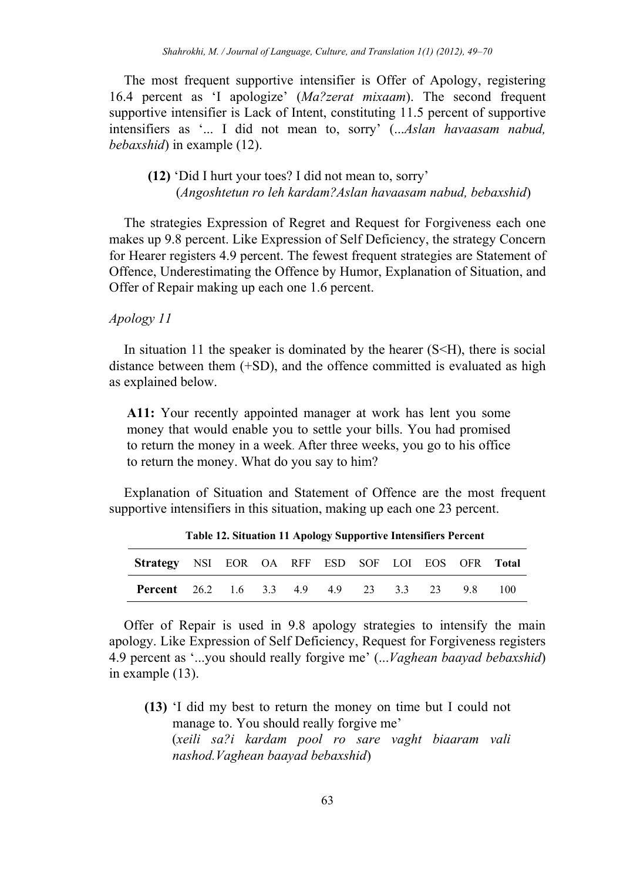The most frequent supportive intensifier is Offer of Apology, registering 16.4 percent as 'I apologize' (*Ma?zerat mixaam*). The second frequent supportive intensifier is Lack of Intent, constituting 11.5 percent of supportive intensifiers as '... I did not mean to, sorry' (...*Aslan havaasam nabud, bebaxshid*) in example (12).

# **(12)** 'Did I hurt your toes? I did not mean to, sorry' (*Angoshtetun ro leh kardam?Aslan havaasam nabud, bebaxshid*)

The strategies Expression of Regret and Request for Forgiveness each one makes up 9.8 percent. Like Expression of Self Deficiency, the strategy Concern for Hearer registers 4.9 percent. The fewest frequent strategies are Statement of Offence, Underestimating the Offence by Humor, Explanation of Situation, and Offer of Repair making up each one 1.6 percent.

# *Apology 11*

In situation 11 the speaker is dominated by the hearer  $(S< H)$ , there is social distance between them (+SD), and the offence committed is evaluated as high as explained below.

**A11:** Your recently appointed manager at work has lent you some money that would enable you to settle your bills. You had promised to return the money in a week. After three weeks, you go to his office to return the money. What do you say to him?

Explanation of Situation and Statement of Offence are the most frequent supportive intensifiers in this situation, making up each one 23 percent.

| Twore 12, Stemmes 11 11 policy cupper the intensities 1 or cent |  |  |  |  |  |  |  |  |  |  |  |  |
|-----------------------------------------------------------------|--|--|--|--|--|--|--|--|--|--|--|--|
| Strategy NSI EOR OA RFF ESD SOF LOI EOS OFR Total               |  |  |  |  |  |  |  |  |  |  |  |  |
| <b>Percent</b> 26.2 1.6 3.3 4.9 4.9 23 3.3 23 9.8 100           |  |  |  |  |  |  |  |  |  |  |  |  |

**Table 12. Situation 11 Apology Supportive Intensifiers Percent** 

Offer of Repair is used in 9.8 apology strategies to intensify the main apology. Like Expression of Self Deficiency, Request for Forgiveness registers 4.9 percent as '...you should really forgive me' (...*Vaghean baayad bebaxshid*) in example (13).

**(13)** 'I did my best to return the money on time but I could not manage to. You should really forgive me' (*xeili sa?i kardam pool ro sare vaght biaaram vali nashod.Vaghean baayad bebaxshid*)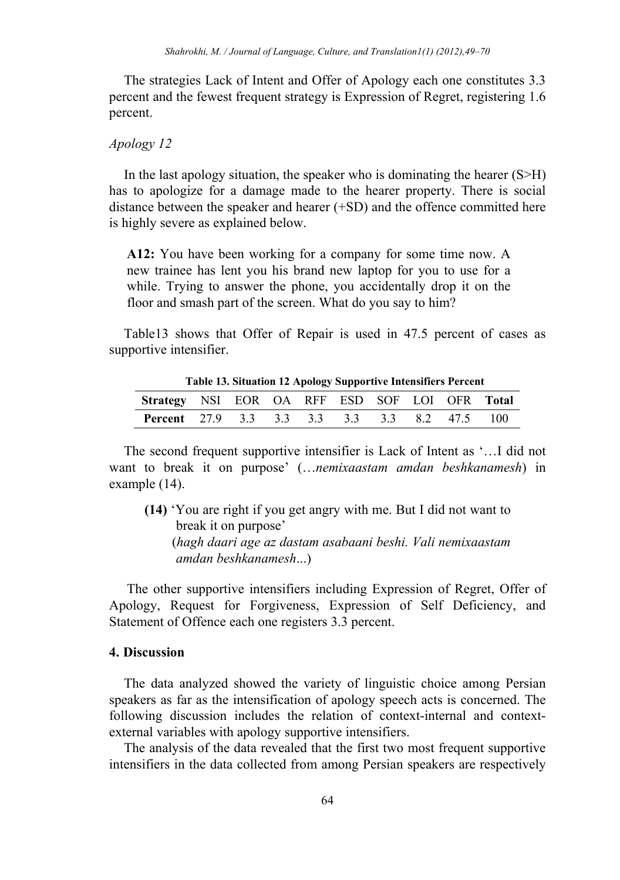The strategies Lack of Intent and Offer of Apology each one constitutes 3.3 percent and the fewest frequent strategy is Expression of Regret, registering 1.6 percent.

### *Apology 12*

In the last apology situation, the speaker who is dominating the hearer  $(S > H)$ has to apologize for a damage made to the hearer property. There is social distance between the speaker and hearer (+SD) and the offence committed here is highly severe as explained below.

**A12:** You have been working for a company for some time now. A new trainee has lent you his brand new laptop for you to use for a while. Trying to answer the phone, you accidentally drop it on the floor and smash part of the screen. What do you say to him?

Table13 shows that Offer of Repair is used in 47.5 percent of cases as supportive intensifier.

| Table 19. Shuation 12 Apology Supportive Intensifiers I creent |  |  |  |  |  |  |  |  |  |  |  |  |
|----------------------------------------------------------------|--|--|--|--|--|--|--|--|--|--|--|--|
| Strategy NSI EOR OA RFF ESD SOF LOI OFR Total                  |  |  |  |  |  |  |  |  |  |  |  |  |
| <b>Percent</b> 27.9 3.3 3.3 3.3 3.3 3.3 8.2 47.5 100           |  |  |  |  |  |  |  |  |  |  |  |  |

**Table 13. Situation 12 Apology Supportive Intensifiers Percent** 

The second frequent supportive intensifier is Lack of Intent as '…I did not want to break it on purpose' (…*nemixaastam amdan beshkanamesh*) in example (14).

**(14)** 'You are right if you get angry with me. But I did not want to break it on purpose' (*hagh daari age az dastam asabaani beshi. Vali nemixaastam amdan beshkanamesh*...)

The other supportive intensifiers including Expression of Regret, Offer of Apology, Request for Forgiveness, Expression of Self Deficiency, and Statement of Offence each one registers 3.3 percent.

#### **4. Discussion**

The data analyzed showed the variety of linguistic choice among Persian speakers as far as the intensification of apology speech acts is concerned. The following discussion includes the relation of context-internal and contextexternal variables with apology supportive intensifiers.

The analysis of the data revealed that the first two most frequent supportive intensifiers in the data collected from among Persian speakers are respectively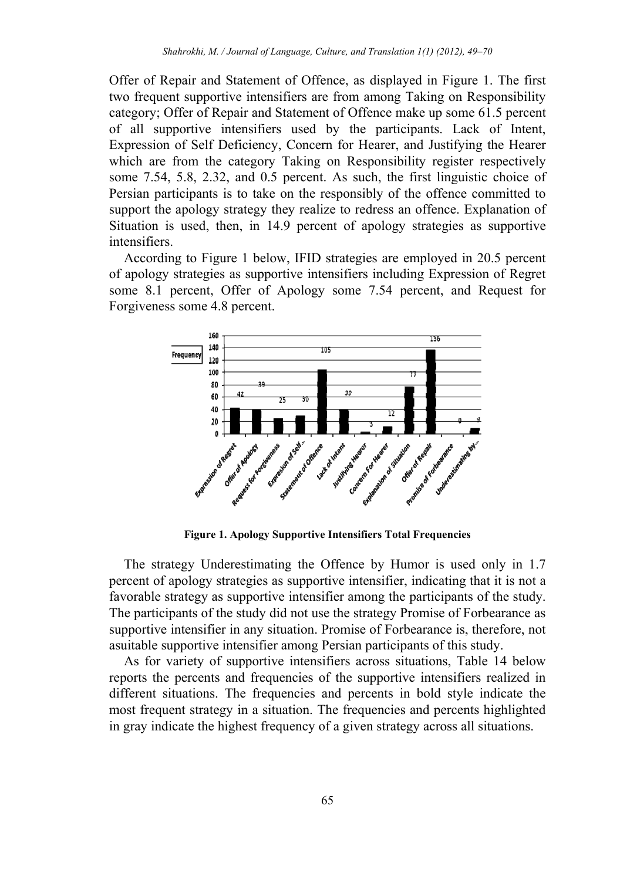Offer of Repair and Statement of Offence, as displayed in Figure 1. The first two frequent supportive intensifiers are from among Taking on Responsibility category; Offer of Repair and Statement of Offence make up some 61.5 percent of all supportive intensifiers used by the participants. Lack of Intent, Expression of Self Deficiency, Concern for Hearer, and Justifying the Hearer which are from the category Taking on Responsibility register respectively some 7.54, 5.8, 2.32, and 0.5 percent. As such, the first linguistic choice of Persian participants is to take on the responsibly of the offence committed to support the apology strategy they realize to redress an offence. Explanation of Situation is used, then, in 14.9 percent of apology strategies as supportive intensifiers.

According to Figure 1 below, IFID strategies are employed in 20.5 percent of apology strategies as supportive intensifiers including Expression of Regret some 8.1 percent, Offer of Apology some 7.54 percent, and Request for Forgiveness some 4.8 percent.



**Figure 1. Apology Supportive Intensifiers Total Frequencies** 

The strategy Underestimating the Offence by Humor is used only in 1.7 percent of apology strategies as supportive intensifier, indicating that it is not a favorable strategy as supportive intensifier among the participants of the study. The participants of the study did not use the strategy Promise of Forbearance as supportive intensifier in any situation. Promise of Forbearance is, therefore, not asuitable supportive intensifier among Persian participants of this study.

As for variety of supportive intensifiers across situations, Table 14 below reports the percents and frequencies of the supportive intensifiers realized in different situations. The frequencies and percents in bold style indicate the most frequent strategy in a situation. The frequencies and percents highlighted in gray indicate the highest frequency of a given strategy across all situations.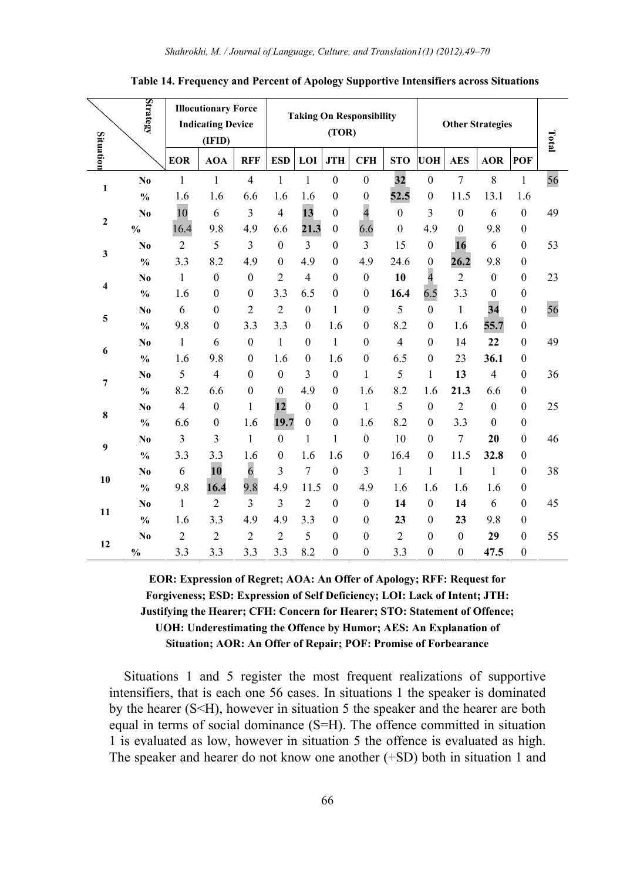|              | Strategy                           | <b>Illocutionary Force</b><br><b>Indicating Device</b><br>(IFID) |                          |                  |                  |                         | (TOR)            | <b>Taking On Responsibility</b> |                  | <b>Other Strategies</b> | Total            |                  |                  |    |
|--------------|------------------------------------|------------------------------------------------------------------|--------------------------|------------------|------------------|-------------------------|------------------|---------------------------------|------------------|-------------------------|------------------|------------------|------------------|----|
| Situation    |                                    | <b>EOR</b>                                                       | <b>AOA</b>               | <b>RFF</b>       | <b>ESD</b>       | LOI                     | <b>JTH</b>       | <b>CFH</b>                      | <b>STO</b>       | <b>UOH</b>              | <b>AES</b>       | <b>AOR</b>       | POF              |    |
| $\mathbf{1}$ | N <sub>0</sub>                     | $\mathbf{1}$                                                     | $\mathbf{1}$             | $\overline{4}$   | $\mathbf{1}$     | $\mathbf{1}$            | $\theta$         | $\mathbf{0}$                    | 32               | $\mathbf{0}$            | $\overline{7}$   | 8                | 1                | 56 |
|              | $\frac{0}{0}$                      | 1.6                                                              | 1.6                      | 6.6              | 1.6              | 1.6                     | $\boldsymbol{0}$ | $\overline{0}$                  | 52.5             | $\boldsymbol{0}$        | 11.5             | 13.1             | 1.6              |    |
| $\mathbf{2}$ | N <sub>0</sub>                     | 10                                                               | 6                        | 3                | $\overline{4}$   | 13                      | $\boldsymbol{0}$ | $\overline{4}$                  | $\boldsymbol{0}$ | 3                       | $\mathbf{0}$     | 6                | $\mathbf{0}$     | 49 |
|              | $\mathbf{0}_{\mathbf{0}}^{\prime}$ | 16.4                                                             | 9.8                      | 4.9              | 6.6              | 21.3                    | $\mathbf{0}$     | 6.6                             | $\mathbf{0}$     | 4.9                     | $\mathbf{0}$     | 9.8              | $\boldsymbol{0}$ |    |
| 3            | N <sub>0</sub>                     | $\overline{c}$                                                   | 5                        | 3                | $\boldsymbol{0}$ | 3                       | $\theta$         | 3                               | 15               | $\boldsymbol{0}$        | 16               | 6                | $\boldsymbol{0}$ | 53 |
|              | $\frac{0}{0}$                      | 3.3                                                              | 8.2                      | 4.9              | $\mathbf{0}$     | 4.9                     | $\theta$         | 4.9                             | 24.6             | $\mathbf{0}$            | 26.2             | 9.8              | $\mathbf{0}$     |    |
| 4            | N <sub>0</sub>                     | $\,1$                                                            | $\boldsymbol{0}$         | $\boldsymbol{0}$ | $\overline{c}$   | $\overline{4}$          | $\mathbf{0}$     | $\boldsymbol{0}$                | 10               | $\overline{4}$          | $\overline{2}$   | $\boldsymbol{0}$ | $\boldsymbol{0}$ | 23 |
|              | $\frac{0}{0}$                      | 1.6                                                              | $\boldsymbol{0}$         | $\theta$         | 3.3              | 6.5                     | $\mathbf{0}$     | $\mathbf{0}$                    | 16.4             | 6.5                     | 3.3              | $\boldsymbol{0}$ | $\boldsymbol{0}$ |    |
| 5            | N <sub>0</sub>                     | 6                                                                | $\boldsymbol{0}$         | $\overline{2}$   | $\overline{2}$   | $\mathbf{0}$            | $\mathbf{1}$     | $\boldsymbol{0}$                | 5                | $\boldsymbol{0}$        | $\mathbf{1}$     | 34               | $\boldsymbol{0}$ | 56 |
|              | $\frac{0}{0}$                      | 9.8                                                              | $\boldsymbol{0}$         | 3.3              | 3.3              | $\boldsymbol{0}$        | 1.6              | $\boldsymbol{0}$                | 8.2              | $\boldsymbol{0}$        | 1.6              | 55.7             | $\boldsymbol{0}$ |    |
| 6            | No                                 | $\mathbf{1}$                                                     | 6                        | $\mathbf{0}$     | 1                | $\mathbf{0}$            | $\mathbf{1}$     | $\mathbf{0}$                    | $\overline{4}$   | $\mathbf{0}$            | 14               | 22               | $\boldsymbol{0}$ | 49 |
|              | $\frac{0}{0}$                      | 1.6                                                              | 9.8                      | $\mathbf{0}$     | 1.6              | $\boldsymbol{0}$        | 1.6              | $\boldsymbol{0}$                | 6.5              | $\mathbf{0}$            | 23               | 36.1             | $\boldsymbol{0}$ |    |
| 7            | N <sub>0</sub>                     | 5                                                                | $\overline{\mathcal{L}}$ | $\mathbf{0}$     | $\boldsymbol{0}$ | $\overline{\mathbf{3}}$ | $\boldsymbol{0}$ | $\mathbf{1}$                    | 5                | $\mathbf{1}$            | 13               | $\overline{4}$   | $\boldsymbol{0}$ | 36 |
|              | $\frac{0}{0}$                      | 8.2                                                              | 6.6                      | $\mathbf{0}$     | $\boldsymbol{0}$ | 4.9                     | $\mathbf{0}$     | 1.6                             | 8.2              | 1.6                     | 21.3             | 6.6              | $\boldsymbol{0}$ |    |
| 8            | N <sub>0</sub>                     | $\overline{4}$                                                   | $\boldsymbol{0}$         | 1                | 12               | $\mathbf{0}$            | $\mathbf{0}$     | $\mathbf{1}$                    | 5                | $\mathbf{0}$            | $\overline{2}$   | $\mathbf{0}$     | $\mathbf{0}$     | 25 |
|              | $\frac{0}{0}$                      | 6.6                                                              | $\boldsymbol{0}$         | 1.6              | 19.7             | $\boldsymbol{0}$        | $\boldsymbol{0}$ | 1.6                             | 8.2              | $\boldsymbol{0}$        | 3.3              | $\mathbf{0}$     | $\boldsymbol{0}$ |    |
| 9            | No                                 | 3                                                                | $\overline{\mathbf{3}}$  | $\mathbf{1}$     | $\mathbf{0}$     | $\mathbf{1}$            | $\mathbf{1}$     | $\boldsymbol{0}$                | 10               | $\boldsymbol{0}$        | $\tau$           | 20               | $\boldsymbol{0}$ | 46 |
|              | $\frac{0}{0}$                      | 3.3                                                              | 3.3                      | 1.6              | $\mathbf{0}$     | 1.6                     | 1.6              | $\mathbf{0}$                    | 16.4             | $\mathbf{0}$            | 11.5             | 32.8             | $\boldsymbol{0}$ |    |
| 10           | No.                                | 6                                                                | 10                       | $\overline{6}$   | 3                | $\tau$                  | $\boldsymbol{0}$ | 3                               | $\mathbf{1}$     | $\mathbf{1}$            | $\mathbf{1}$     | 1                | $\mathbf{0}$     | 38 |
|              | $\frac{0}{0}$                      | 9.8                                                              | 16.4                     | 9.8              | 4.9              | 11.5                    | $\boldsymbol{0}$ | 4.9                             | 1.6              | 1.6                     | 1.6              | 1.6              | $\boldsymbol{0}$ |    |
| 11           | N <sub>0</sub>                     | $\mathbf{1}$                                                     | $\overline{c}$           | 3                | 3                | $\overline{2}$          | $\theta$         | $\mathbf{0}$                    | 14               | $\mathbf{0}$            | 14               | 6                | $\boldsymbol{0}$ | 45 |
|              | $\frac{0}{0}$                      | 1.6                                                              | 3.3                      | 4.9              | 4.9              | 3.3                     | $\theta$         | $\mathbf{0}$                    | 23               | $\mathbf{0}$            | 23               | 9.8              | $\mathbf{0}$     |    |
| 12           | No                                 | $\overline{c}$                                                   | $\overline{c}$           | $\overline{2}$   | $\overline{c}$   | 5                       | $\mathbf{0}$     | $\boldsymbol{0}$                | $\overline{c}$   | $\boldsymbol{0}$        | $\boldsymbol{0}$ | 29               | $\boldsymbol{0}$ | 55 |
|              | $\frac{0}{0}$                      | 3.3                                                              | 3.3                      | 3.3              | 3.3              | 8.2                     | $\mathbf{0}$     | $\boldsymbol{0}$                | 3.3              | $\mathbf{0}$            | $\boldsymbol{0}$ | 47.5             | $\mathbf{0}$     |    |

**Table 14. Frequency and Percent of Apology Supportive Intensifiers across Situations** 

# **EOR: Expression of Regret; AOA: An Offer of Apology; RFF: Request for Forgiveness; ESD: Expression of Self Deficiency; LOI: Lack of Intent; JTH: Justifying the Hearer; CFH: Concern for Hearer; STO: Statement of Offence; UOH: Underestimating the Offence by Humor; AES: An Explanation of Situation; AOR: An Offer of Repair; POF: Promise of Forbearance**

Situations 1 and 5 register the most frequent realizations of supportive intensifiers, that is each one 56 cases. In situations 1 the speaker is dominated by the hearer (S<H), however in situation 5 the speaker and the hearer are both equal in terms of social dominance (S=H). The offence committed in situation 1 is evaluated as low, however in situation 5 the offence is evaluated as high. The speaker and hearer do not know one another (+SD) both in situation 1 and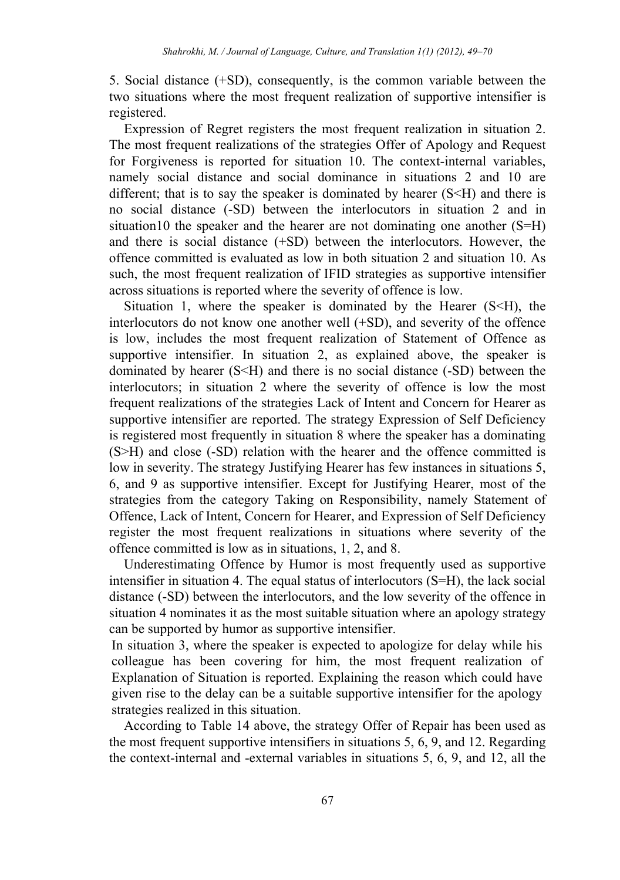5. Social distance (+SD), consequently, is the common variable between the two situations where the most frequent realization of supportive intensifier is registered.

Expression of Regret registers the most frequent realization in situation 2. The most frequent realizations of the strategies Offer of Apology and Request for Forgiveness is reported for situation 10. The context-internal variables, namely social distance and social dominance in situations 2 and 10 are different; that is to say the speaker is dominated by hearer  $(S< H)$  and there is no social distance (-SD) between the interlocutors in situation 2 and in situation10 the speaker and the hearer are not dominating one another (S=H) and there is social distance (+SD) between the interlocutors. However, the offence committed is evaluated as low in both situation 2 and situation 10. As such, the most frequent realization of IFID strategies as supportive intensifier across situations is reported where the severity of offence is low.

Situation 1, where the speaker is dominated by the Hearer  $(S \leq H)$ , the interlocutors do not know one another well (+SD), and severity of the offence is low, includes the most frequent realization of Statement of Offence as supportive intensifier. In situation 2, as explained above, the speaker is dominated by hearer (S<H) and there is no social distance (-SD) between the interlocutors; in situation 2 where the severity of offence is low the most frequent realizations of the strategies Lack of Intent and Concern for Hearer as supportive intensifier are reported. The strategy Expression of Self Deficiency is registered most frequently in situation 8 where the speaker has a dominating (S>H) and close (-SD) relation with the hearer and the offence committed is low in severity. The strategy Justifying Hearer has few instances in situations 5, 6, and 9 as supportive intensifier. Except for Justifying Hearer, most of the strategies from the category Taking on Responsibility, namely Statement of Offence, Lack of Intent, Concern for Hearer, and Expression of Self Deficiency register the most frequent realizations in situations where severity of the offence committed is low as in situations, 1, 2, and 8.

Underestimating Offence by Humor is most frequently used as supportive intensifier in situation 4. The equal status of interlocutors (S=H), the lack social distance (-SD) between the interlocutors, and the low severity of the offence in situation 4 nominates it as the most suitable situation where an apology strategy can be supported by humor as supportive intensifier.

In situation 3, where the speaker is expected to apologize for delay while his colleague has been covering for him, the most frequent realization of Explanation of Situation is reported. Explaining the reason which could have given rise to the delay can be a suitable supportive intensifier for the apology strategies realized in this situation.

According to Table 14 above, the strategy Offer of Repair has been used as the most frequent supportive intensifiers in situations 5, 6, 9, and 12. Regarding the context-internal and -external variables in situations 5, 6, 9, and 12, all the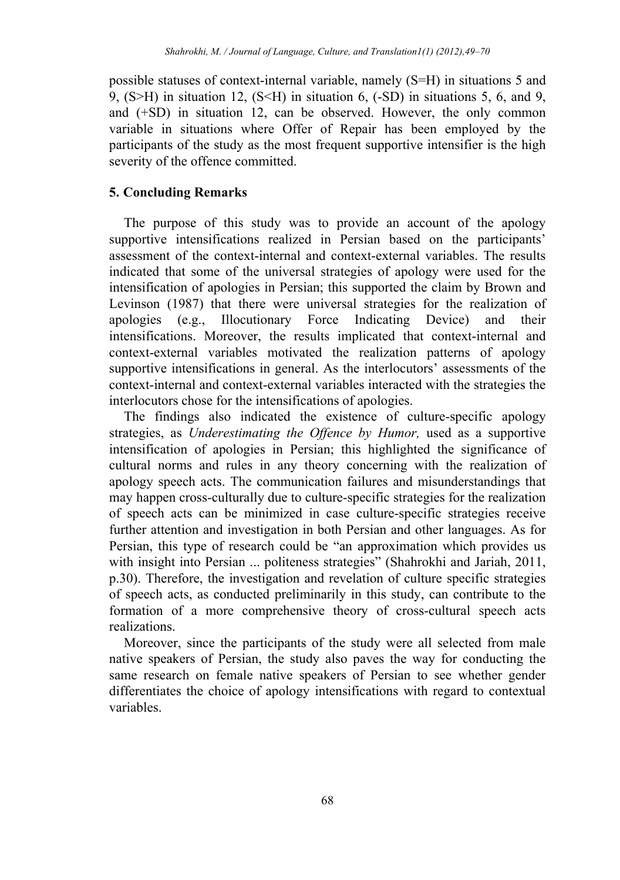possible statuses of context-internal variable, namely (S=H) in situations 5 and 9,  $(S>H)$  in situation 12,  $(S< H)$  in situation 6,  $(-SD)$  in situations 5, 6, and 9, and (+SD) in situation 12, can be observed. However, the only common variable in situations where Offer of Repair has been employed by the participants of the study as the most frequent supportive intensifier is the high severity of the offence committed.

# **5. Concluding Remarks**

The purpose of this study was to provide an account of the apology supportive intensifications realized in Persian based on the participants' assessment of the context-internal and context-external variables. The results indicated that some of the universal strategies of apology were used for the intensification of apologies in Persian; this supported the claim by Brown and Levinson (1987) that there were universal strategies for the realization of apologies (e.g., Illocutionary Force Indicating Device) and their intensifications. Moreover, the results implicated that context-internal and context-external variables motivated the realization patterns of apology supportive intensifications in general. As the interlocutors' assessments of the context-internal and context-external variables interacted with the strategies the interlocutors chose for the intensifications of apologies.

The findings also indicated the existence of culture-specific apology strategies, as *Underestimating the Offence by Humor,* used as a supportive intensification of apologies in Persian; this highlighted the significance of cultural norms and rules in any theory concerning with the realization of apology speech acts. The communication failures and misunderstandings that may happen cross-culturally due to culture-specific strategies for the realization of speech acts can be minimized in case culture-specific strategies receive further attention and investigation in both Persian and other languages. As for Persian, this type of research could be "an approximation which provides us with insight into Persian ... politeness strategies" (Shahrokhi and Jariah, 2011, p.30). Therefore, the investigation and revelation of culture specific strategies of speech acts, as conducted preliminarily in this study, can contribute to the formation of a more comprehensive theory of cross-cultural speech acts realizations.

Moreover, since the participants of the study were all selected from male native speakers of Persian, the study also paves the way for conducting the same research on female native speakers of Persian to see whether gender differentiates the choice of apology intensifications with regard to contextual variables.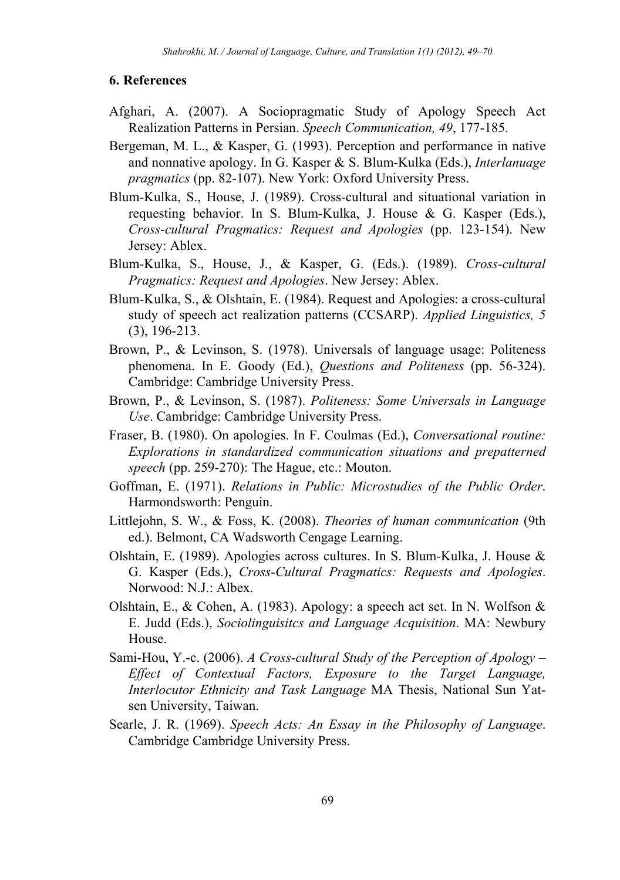#### **6. References**

- Afghari, A. (2007). A Sociopragmatic Study of Apology Speech Act Realization Patterns in Persian. *Speech Communication, 49*, 177-185.
- Bergeman, M. L., & Kasper, G. (1993). Perception and performance in native and nonnative apology. In G. Kasper & S. Blum-Kulka (Eds.), *Interlanuage pragmatics* (pp. 82-107). New York: Oxford University Press.
- Blum-Kulka, S., House, J. (1989). Cross-cultural and situational variation in requesting behavior. In S. Blum-Kulka, J. House & G. Kasper (Eds.), *Cross-cultural Pragmatics: Request and Apologies* (pp. 123-154). New Jersey: Ablex.
- Blum-Kulka, S., House, J., & Kasper, G. (Eds.). (1989). *Cross-cultural Pragmatics: Request and Apologies*. New Jersey: Ablex.
- Blum-Kulka, S., & Olshtain, E. (1984). Request and Apologies: a cross-cultural study of speech act realization patterns (CCSARP). *Applied Linguistics, 5*  (3), 196-213.
- Brown, P., & Levinson, S. (1978). Universals of language usage: Politeness phenomena. In E. Goody (Ed.), *Questions and Politeness* (pp. 56-324). Cambridge: Cambridge University Press.
- Brown, P., & Levinson, S. (1987). *Politeness: Some Universals in Language Use*. Cambridge: Cambridge University Press.
- Fraser, B. (1980). On apologies. In F. Coulmas (Ed.), *Conversational routine: Explorations in standardized communication situations and prepatterned speech* (pp. 259-270): The Hague, etc.: Mouton.
- Goffman, E. (1971). *Relations in Public: Microstudies of the Public Order*. Harmondsworth: Penguin.
- Littlejohn, S. W., & Foss, K. (2008). *Theories of human communication* (9th ed.). Belmont, CA Wadsworth Cengage Learning.
- Olshtain, E. (1989). Apologies across cultures. In S. Blum-Kulka, J. House & G. Kasper (Eds.), *Cross-Cultural Pragmatics: Requests and Apologies*. Norwood: N.J.: Albex.
- Olshtain, E., & Cohen, A. (1983). Apology: a speech act set. In N. Wolfson & E. Judd (Eds.), *Sociolinguisitcs and Language Acquisition*. MA: Newbury House.
- Sami-Hou, Y.-c. (2006). *A Cross-cultural Study of the Perception of Apology Effect of Contextual Factors, Exposure to the Target Language, Interlocutor Ethnicity and Task Language* MA Thesis, National Sun Yatsen University, Taiwan.
- Searle, J. R. (1969). *Speech Acts: An Essay in the Philosophy of Language*. Cambridge Cambridge University Press.